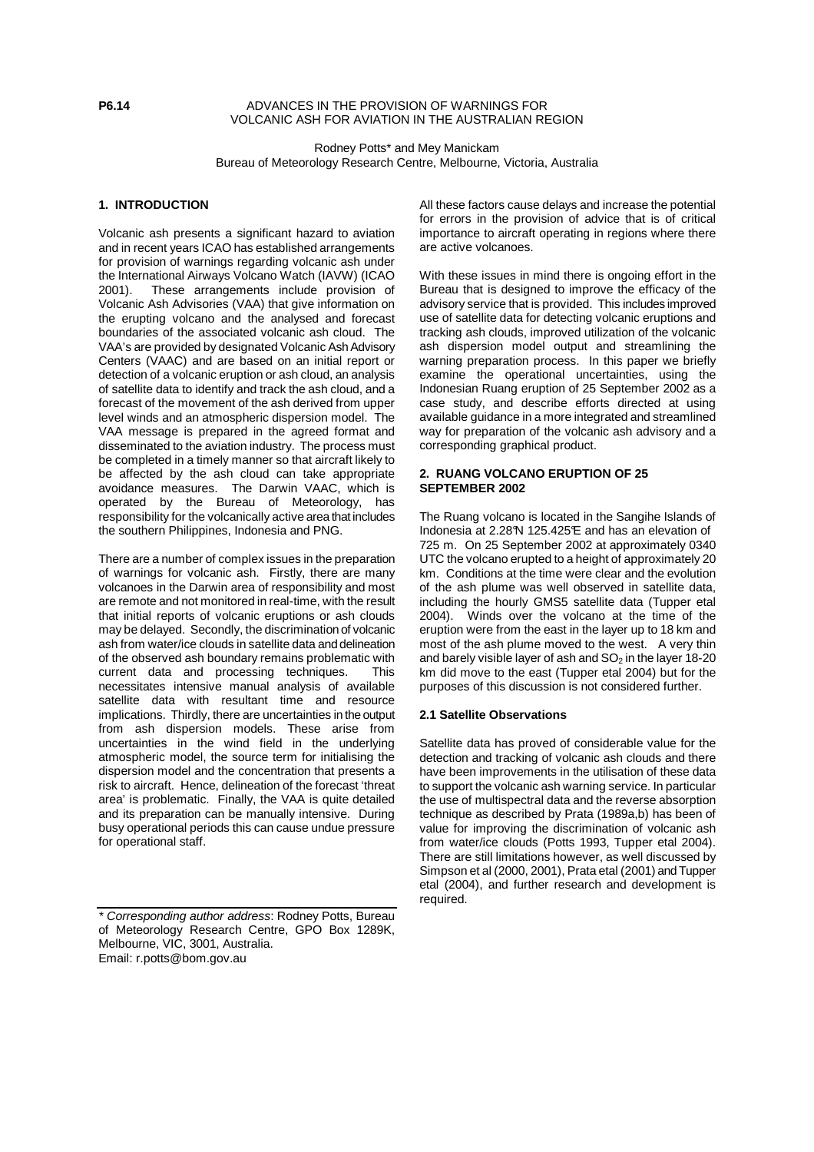## **P6.14** ADVANCES IN THE PROVISION OF WARNINGS FOR VOLCANIC ASH FOR AVIATION IN THE AUSTRALIAN REGION

Rodney Potts\* and Mey Manickam Bureau of Meteorology Research Centre, Melbourne, Victoria, Australia

## **1. INTRODUCTION**

Volcanic ash presents a significant hazard to aviation and in recent years ICAO has established arrangements for provision of warnings regarding volcanic ash under the International Airways Volcano Watch (IAVW) (ICAO 2001). These arrangements include provision of Volcanic Ash Advisories (VAA) that give information on the erupting volcano and the analysed and forecast boundaries of the associated volcanic ash cloud. The VAA's are provided by designated Volcanic Ash Advisory Centers (VAAC) and are based on an initial report or detection of a volcanic eruption or ash cloud, an analysis of satellite data to identify and track the ash cloud, and a forecast of the movement of the ash derived from upper level winds and an atmospheric dispersion model. The VAA message is prepared in the agreed format and disseminated to the aviation industry. The process must be completed in a timely manner so that aircraft likely to be affected by the ash cloud can take appropriate avoidance measures. The Darwin VAAC, which is operated by the Bureau of Meteorology, has responsibility for the volcanically active area that includes the southern Philippines, Indonesia and PNG.

There are a number of complex issues in the preparation of warnings for volcanic ash. Firstly, there are many volcanoes in the Darwin area of responsibility and most are remote and not monitored in real-time, with the result that initial reports of volcanic eruptions or ash clouds may be delayed. Secondly, the discrimination of volcanic ash from water/ice clouds in satellite data and delineation of the observed ash boundary remains problematic with current data and processing techniques. This necessitates intensive manual analysis of available satellite data with resultant time and resource implications. Thirdly, there are uncertainties in the output from ash dispersion models. These arise from uncertainties in the wind field in the underlying atmospheric model, the source term for initialising the dispersion model and the concentration that presents a risk to aircraft. Hence, delineation of the forecast 'threat area' is problematic. Finally, the VAA is quite detailed and its preparation can be manually intensive. During busy operational periods this can cause undue pressure for operational staff.

All these factors cause delays and increase the potential for errors in the provision of advice that is of critical importance to aircraft operating in regions where there are active volcanoes.

With these issues in mind there is ongoing effort in the Bureau that is designed to improve the efficacy of the advisory service that is provided. This includes improved use of satellite data for detecting volcanic eruptions and tracking ash clouds, improved utilization of the volcanic ash dispersion model output and streamlining the warning preparation process. In this paper we briefly examine the operational uncertainties, using the Indonesian Ruang eruption of 25 September 2002 as a case study, and describe efforts directed at using available guidance in a more integrated and streamlined way for preparation of the volcanic ash advisory and a corresponding graphical product.

## **2. RUANG VOLCANO ERUPTION OF 25 SEPTEMBER 2002**

The Ruang volcano is located in the Sangihe Islands of Indonesia at 2.28°N 125.425°E and has an elevation of 725 m. On 25 September 2002 at approximately 0340 UTC the volcano erupted to a height of approximately 20 km. Conditions at the time were clear and the evolution of the ash plume was well observed in satellite data, including the hourly GMS5 satellite data (Tupper etal 2004). Winds over the volcano at the time of the eruption were from the east in the layer up to 18 km and most of the ash plume moved to the west. A very thin and barely visible layer of ash and  $SO<sub>2</sub>$  in the layer 18-20 km did move to the east (Tupper etal 2004) but for the purposes of this discussion is not considered further.

# **2.1 Satellite Observations**

Satellite data has proved of considerable value for the detection and tracking of volcanic ash clouds and there have been improvements in the utilisation of these data to support the volcanic ash warning service. In particular the use of multispectral data and the reverse absorption technique as described by Prata (1989a,b) has been of value for improving the discrimination of volcanic ash from water/ice clouds (Potts 1993, Tupper etal 2004). There are still limitations however, as well discussed by Simpson et al (2000, 2001), Prata etal (2001) and Tupper etal (2004), and further research and development is required.

<sup>\*</sup> Corresponding author address: Rodney Potts, Bureau of Meteorology Research Centre, GPO Box 1289K, Melbourne, VIC, 3001, Australia. Email: r.potts@bom.gov.au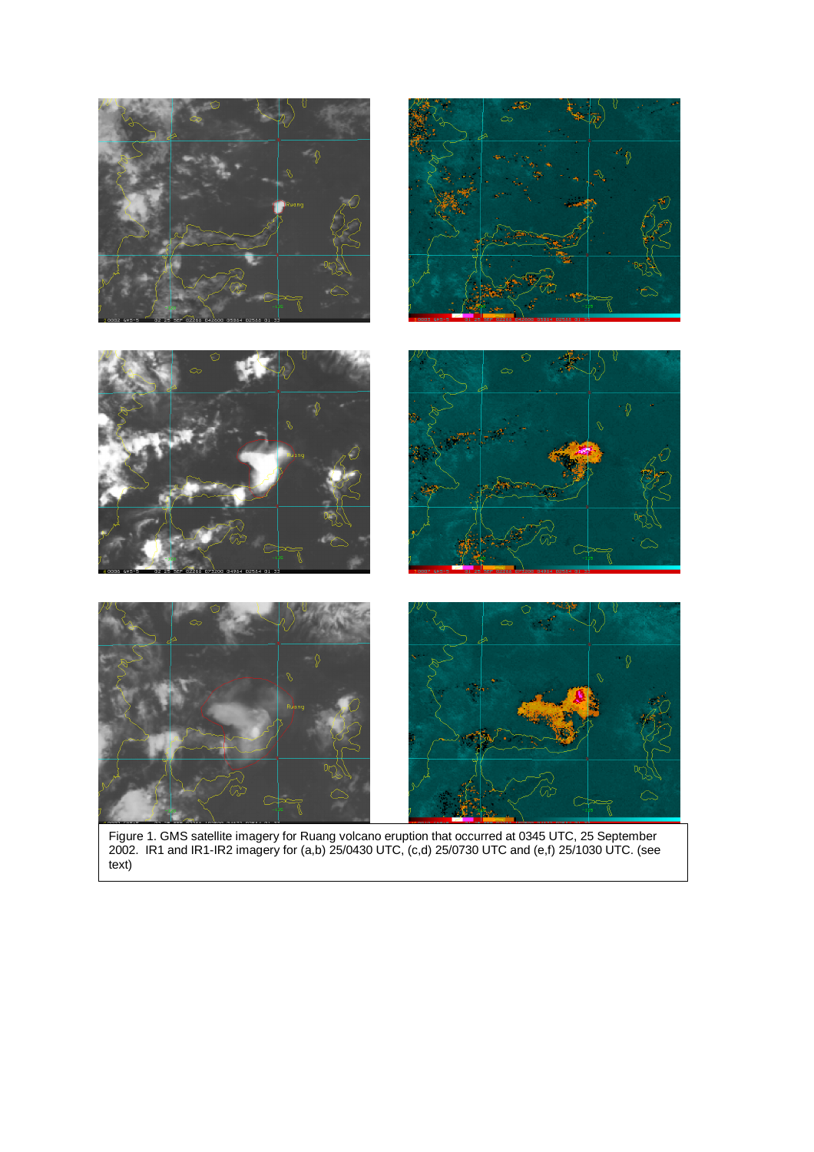

Figure 1. GMS satellite imagery for Ruang volcano eruption that occurred at 0345 UTC, 25 September 2002. IR1 and IR1-IR2 imagery for (a,b) 25/0430 UTC, (c,d) 25/0730 UTC and (e,f) 25/1030 UTC. (see text)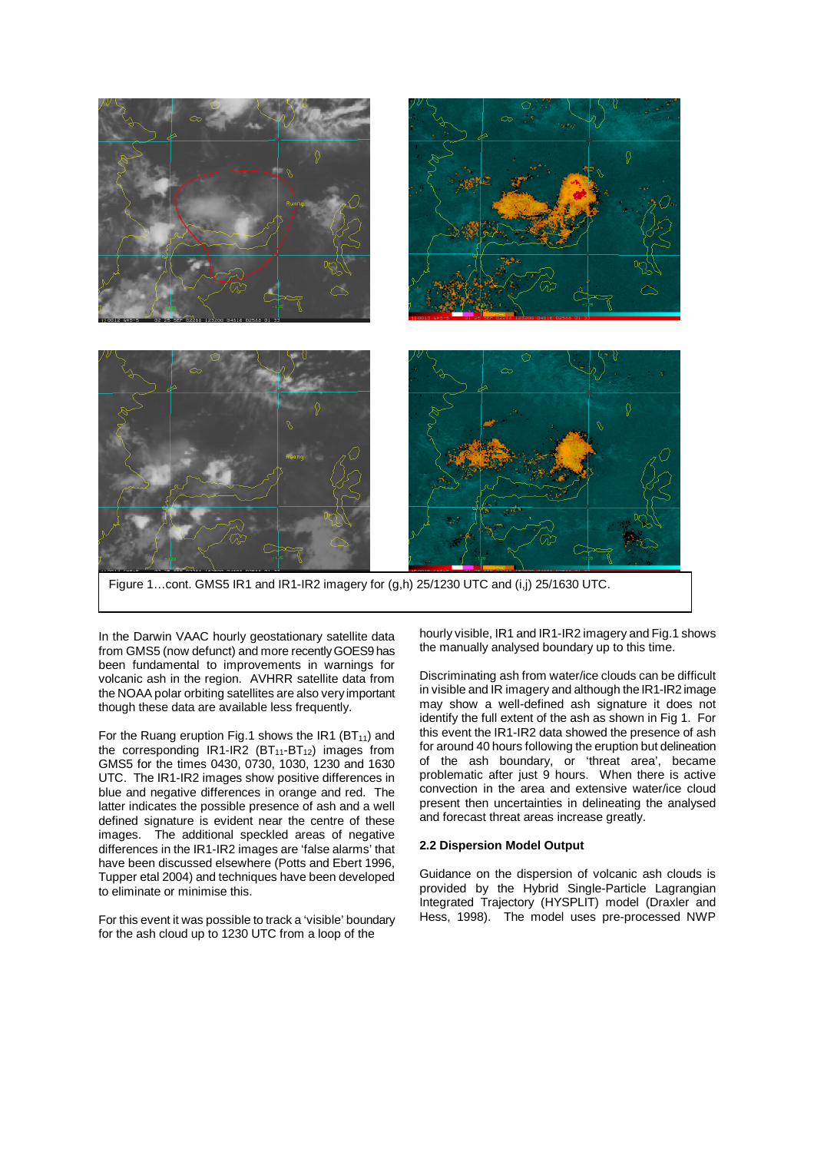

Figure 1...cont. GMS5 IR1 and IR1-IR2 imagery for (g,h) 25/1230 UTC and (i,j) 25/1630 UTC.

In the Darwin VAAC hourly geostationary satellite data from GMS5 (now defunct) and more recently GOES9 has been fundamental to improvements in warnings for volcanic ash in the region. AVHRR satellite data from the NOAA polar orbiting satellites are also very important though these data are available less frequently.

For the Ruang eruption Fig.1 shows the IR1 ( $BT_{11}$ ) and the corresponding  $IR1-IR2$  ( $BT_{11}-BT_{12}$ ) images from GMS5 for the times 0430, 0730, 1030, 1230 and 1630 UTC. The IR1-IR2 images show positive differences in blue and negative differences in orange and red. The latter indicates the possible presence of ash and a well defined signature is evident near the centre of these images. The additional speckled areas of negative differences in the IR1-IR2 images are 'false alarms' that have been discussed elsewhere (Potts and Ebert 1996, Tupper etal 2004) and techniques have been developed to eliminate or minimise this.

For this event it was possible to track a 'visible' boundary for the ash cloud up to 1230 UTC from a loop of the

hourly visible, IR1 and IR1-IR2 imagery and Fig.1 shows the manually analysed boundary up to this time.

Discriminating ash from water/ice clouds can be difficult in visible and IR imagery and although the IR1-IR2 image may show a well-defined ash signature it does not identify the full extent of the ash as shown in Fig 1. For this event the IR1-IR2 data showed the presence of ash for around 40 hours following the eruption but delineation of the ash boundary, or 'threat area', became problematic after just 9 hours. When there is active convection in the area and extensive water/ice cloud present then uncertainties in delineating the analysed and forecast threat areas increase greatly.

# **2.2 Dispersion Model Output**

Guidance on the dispersion of volcanic ash clouds is provided by the Hybrid Single-Particle Lagrangian Integrated Trajectory (HYSPLIT) model (Draxler and Hess, 1998). The model uses pre-processed NWP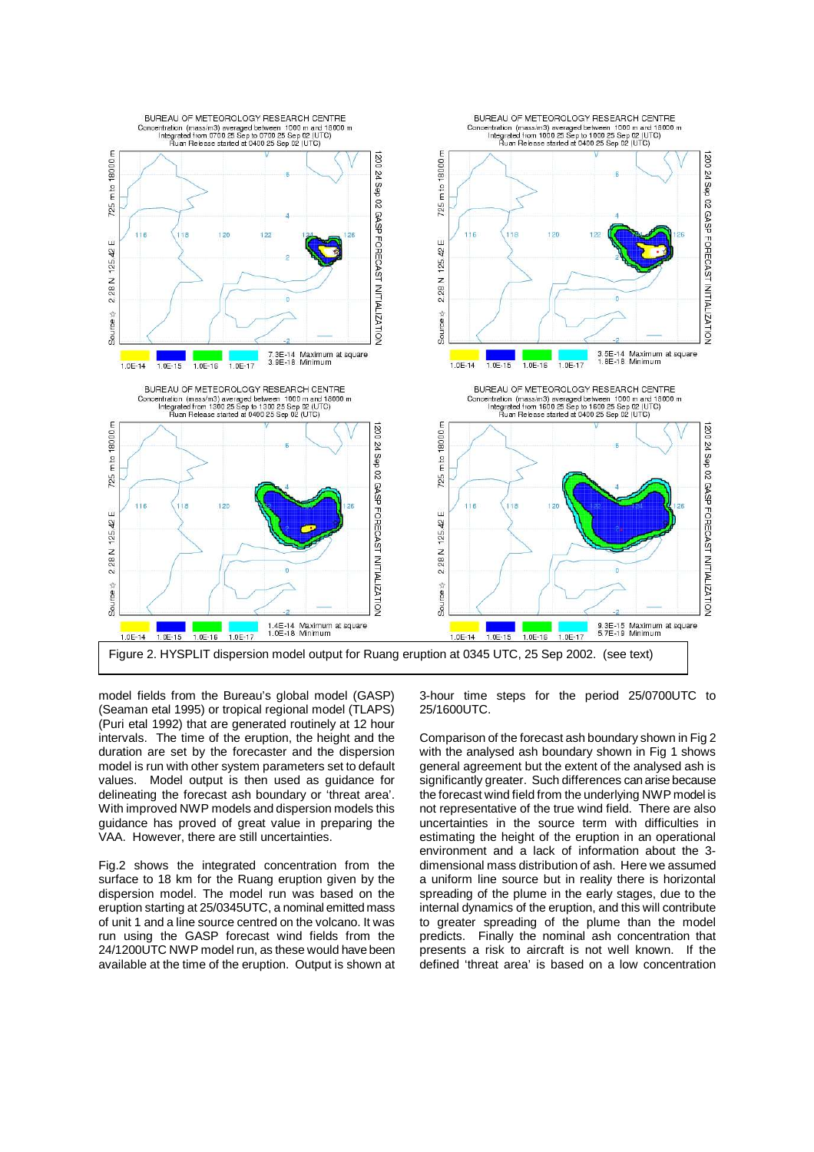

model fields from the Bureau's global model (GASP) (Seaman etal 1995) or tropical regional model (TLAPS) (Puri etal 1992) that are generated routinely at 12 hour intervals. The time of the eruption, the height and the duration are set by the forecaster and the dispersion model is run with other system parameters set to default values. Model output is then used as guidance for delineating the forecast ash boundary or 'threat area'. With improved NWP models and dispersion models this guidance has proved of great value in preparing the VAA. However, there are still uncertainties.

Fig.2 shows the integrated concentration from the surface to 18 km for the Ruang eruption given by the dispersion model. The model run was based on the eruption starting at 25/0345UTC, a nominal emitted mass of unit 1 and a line source centred on the volcano. It was run using the GASP forecast wind fields from the 24/1200UTC NWP model run, as these would have been available at the time of the eruption. Output is shown at

3-hour time steps for the period 25/0700UTC to 25/1600UTC.

Comparison of the forecast ash boundary shown in Fig 2 with the analysed ash boundary shown in Fig 1 shows general agreement but the extent of the analysed ash is significantly greater. Such differences can arise because the forecast wind field from the underlying NWP model is not representative of the true wind field. There are also uncertainties in the source term with difficulties in estimating the height of the eruption in an operational environment and a lack of information about the 3 dimensional mass distribution of ash. Here we assumed a uniform line source but in reality there is horizontal spreading of the plume in the early stages, due to the internal dynamics of the eruption, and this will contribute to greater spreading of the plume than the model predicts. Finally the nominal ash concentration that presents a risk to aircraft is not well known. If the defined 'threat area' is based on a low concentration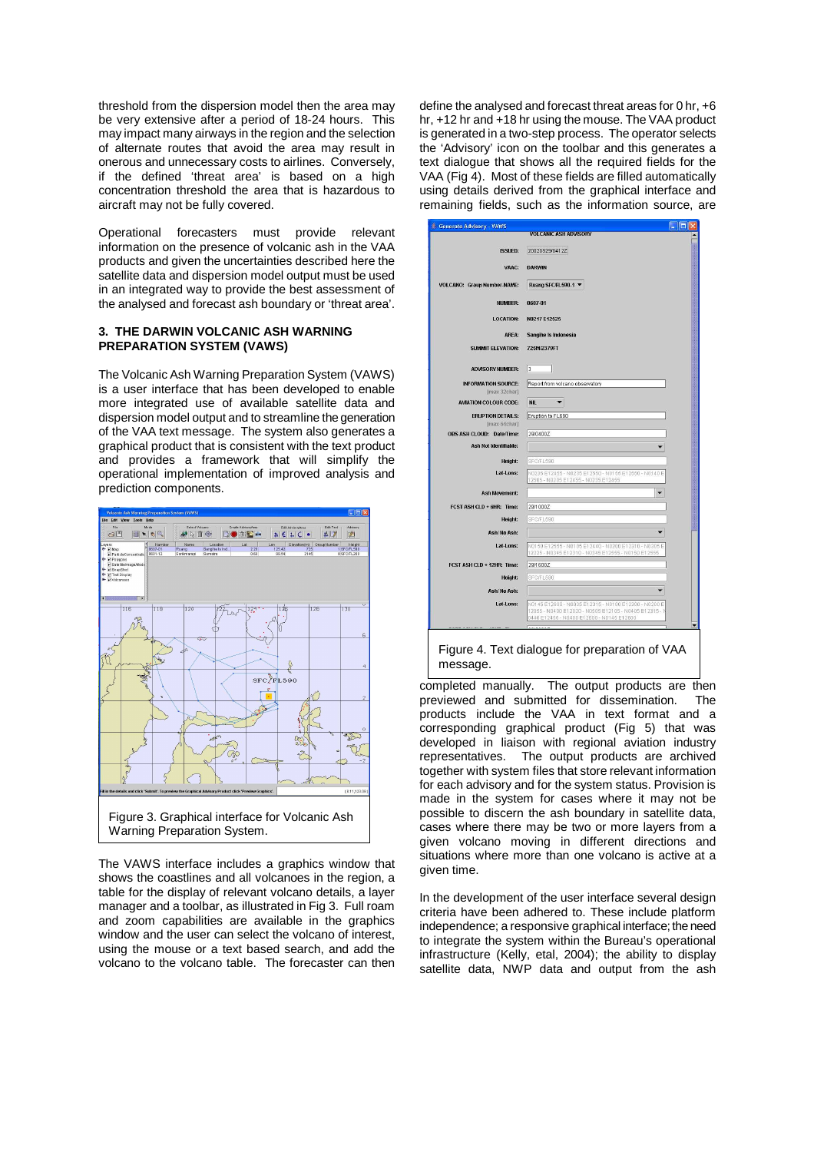threshold from the dispersion model then the area may be very extensive after a period of 18-24 hours. This may impact many airways in the region and the selection of alternate routes that avoid the area may result in onerous and unnecessary costs to airlines. Conversely, if the defined 'threat area' is based on a high concentration threshold the area that is hazardous to aircraft may not be fully covered.

Operational forecasters must provide relevant information on the presence of volcanic ash in the VAA products and given the uncertainties described here the satellite data and dispersion model output must be used in an integrated way to provide the best assessment of the analysed and forecast ash boundary or 'threat area'.

### **3. THE DARWIN VOLCANIC ASH WARNING PREPARATION SYSTEM (VAWS)**

The Volcanic Ash Warning Preparation System (VAWS) is a user interface that has been developed to enable more integrated use of available satellite data and dispersion model output and to streamline the generation of the VAA text message. The system also generates a graphical product that is consistent with the text product and provides a framework that will simplify the operational implementation of improved analysis and prediction components.



The VAWS interface includes a graphics window that shows the coastlines and all volcanoes in the region, a table for the display of relevant volcano details, a layer manager and a toolbar, as illustrated in Fig 3. Full roam and zoom capabilities are available in the graphics window and the user can select the volcano of interest, using the mouse or a text based search, and add the volcano to the volcano table. The forecaster can then

define the analysed and forecast threat areas for 0 hr, +6 hr, +12 hr and +18 hr using the mouse. The VAA product is generated in a two-step process. The operator selects the 'Advisory' icon on the toolbar and this generates a text dialogue that shows all the required fields for the VAA (Fig 4). Most of these fields are filled automatically using details derived from the graphical interface and remaining fields, such as the information source, are

| Cenerate Advisory - VAWS                   | <b>LE</b>                                                                                                  |
|--------------------------------------------|------------------------------------------------------------------------------------------------------------|
|                                            | <b>VOLCANIC ASH ADVISORY</b>                                                                               |
| <b>ISSUED:</b>                             | 20020929/0412Z                                                                                             |
| VAAC:                                      | <b>DARWIN</b>                                                                                              |
| <b>VOLCANO: Group Number-NAME:</b>         | Ruang SFC/FL590-1 ▼                                                                                        |
| NUMBER:                                    | 0607-01                                                                                                    |
| <b>LOCATION:</b>                           | N0217 E12525                                                                                               |
| AREA:                                      | Sangihe Is Indonesia                                                                                       |
| <b>SUMMIT ELEVATION:</b>                   | 725M/2379FT                                                                                                |
| <b>ADVISORY NUMBER:</b>                    | l3                                                                                                         |
| <b>INFORMATION SOURCE:</b><br>[max 32char] | Report from volcano observatory                                                                            |
| <b>AVIATION COLOUR CODE:</b>               | NII.                                                                                                       |
| <b>ERUPTION DETAILS:</b>                   | Eruption to FL690                                                                                          |
| [max 64char]                               |                                                                                                            |
| OBS ASH CLOUD: Date/Time:                  | 29/0400Z                                                                                                   |
| <b>Ash Not Identifiable:</b>               |                                                                                                            |
| Height:                                    | SFC/FL590                                                                                                  |
| Lat-Lons:                                  | N0235 E12455 - N0235 E12550 - N0155 E12550 - N0140 E<br>12505 - N0205 E12455 - N0235 E12455                |
| <b>Ash Movement:</b>                       | $\overline{\phantom{a}}$                                                                                   |
| FCST ASH CLD + 6HR: Time:                  | 29/1000Z                                                                                                   |
| Height:                                    | SFC/FL590                                                                                                  |
| Ash/No Ash:                                |                                                                                                            |
| Lat-Lons:                                  | N0150 E12555 - N0105 E12440 - N0200 E12310 - N0305 E<br>12225 - N0345 E12310 - N0345 E12555 - N0150 E12555 |
| FCST ASH CLD + 12HR: Time:                 | 29/1600Z                                                                                                   |
| Height:                                    | SFC/FL590                                                                                                  |
| Ash/No Ash:                                |                                                                                                            |
| Lat-Lons:                                  | N0145 E12600 - N0035 E12315 - N0100 E12200 - N0200 E                                                       |
|                                            | 12055 - N0400 E12020 - N0505 E12105 - N0405 E12315 - I<br>0440 E12455 - N0400 E12600 - N0145 E12600        |
|                                            |                                                                                                            |
|                                            |                                                                                                            |
|                                            |                                                                                                            |
|                                            | Figure 4. Text dialogue for preparation of VAA                                                             |
| message.                                   |                                                                                                            |

completed manually. The output products are then previewed and submitted for dissemination. The products include the VAA in text format and a corresponding graphical product (Fig 5) that was developed in liaison with regional aviation industry representatives. The output products are archived together with system files that store relevant information for each advisory and for the system status. Provision is made in the system for cases where it may not be possible to discern the ash boundary in satellite data, cases where there may be two or more layers from a given volcano moving in different directions and situations where more than one volcano is active at a given time.

In the development of the user interface several design criteria have been adhered to. These include platform independence; a responsive graphical interface; the need to integrate the system within the Bureau's operational infrastructure (Kelly, etal, 2004); the ability to display satellite data, NWP data and output from the ash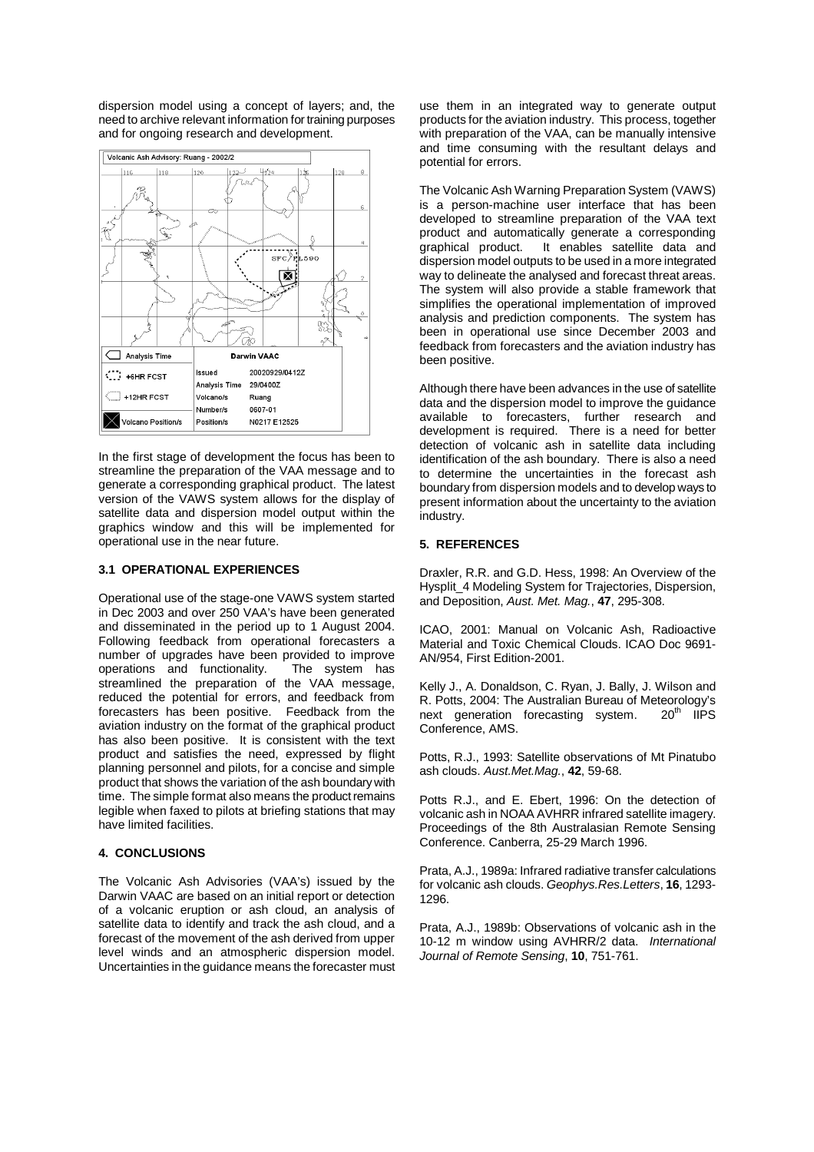dispersion model using a concept of layers; and, the need to archive relevant information for training purposes and for ongoing research and development.



In the first stage of development the focus has been to streamline the preparation of the VAA message and to generate a corresponding graphical product. The latest version of the VAWS system allows for the display of satellite data and dispersion model output within the graphics window and this will be implemented for operational use in the near future.

### **3.1 OPERATIONAL EXPERIENCES**

Operational use of the stage-one VAWS system started in Dec 2003 and over 250 VAA's have been generated and disseminated in the period up to 1 August 2004. Following feedback from operational forecasters a number of upgrades have been provided to improve operations and functionality. The system has streamlined the preparation of the VAA message, reduced the potential for errors, and feedback from forecasters has been positive. Feedback from the aviation industry on the format of the graphical product has also been positive. It is consistent with the text product and satisfies the need, expressed by flight planning personnel and pilots, for a concise and simple product that shows the variation of the ash boundary with time. The simple format also means the product remains legible when faxed to pilots at briefing stations that may have limited facilities.

#### **4. CONCLUSIONS**

The Volcanic Ash Advisories (VAA's) issued by the Darwin VAAC are based on an initial report or detection of a volcanic eruption or ash cloud, an analysis of satellite data to identify and track the ash cloud, and a forecast of the movement of the ash derived from upper level winds and an atmospheric dispersion model. Uncertainties in the guidance means the forecaster must

use them in an integrated way to generate output products for the aviation industry. This process, together with preparation of the VAA, can be manually intensive and time consuming with the resultant delays and potential for errors.

The Volcanic Ash Warning Preparation System (VAWS) is a person-machine user interface that has been developed to streamline preparation of the VAA text product and automatically generate a corresponding<br>graphical product. It enables satellite data and It enables satellite data and dispersion model outputs to be used in a more integrated way to delineate the analysed and forecast threat areas. The system will also provide a stable framework that simplifies the operational implementation of improved analysis and prediction components. The system has been in operational use since December 2003 and feedback from forecasters and the aviation industry has been positive.

Although there have been advances in the use of satellite data and the dispersion model to improve the guidance available to forecasters, further research and development is required. There is a need for better detection of volcanic ash in satellite data including identification of the ash boundary. There is also a need to determine the uncertainties in the forecast ash boundary from dispersion models and to develop ways to present information about the uncertainty to the aviation industry.

#### **5. REFERENCES**

Draxler, R.R. and G.D. Hess, 1998: An Overview of the Hysplit\_4 Modeling System for Trajectories, Dispersion, and Deposition, Aust. Met. Mag., **47**, 295-308.

ICAO, 2001: Manual on Volcanic Ash, Radioactive Material and Toxic Chemical Clouds. ICAO Doc 9691- AN/954, First Edition-2001.

Kelly J., A. Donaldson, C. Ryan, J. Bally, J. Wilson and R. Potts, 2004: The Australian Bureau of Meteorology's next generation forecasting system.  $20<sup>th</sup>$  IIPS Conference, AMS.

Potts, R.J., 1993: Satellite observations of Mt Pinatubo ash clouds. Aust.Met.Mag., **42**, 59-68.

Potts R.J., and E. Ebert, 1996: On the detection of volcanic ash in NOAA AVHRR infrared satellite imagery. Proceedings of the 8th Australasian Remote Sensing Conference. Canberra, 25-29 March 1996.

Prata, A.J., 1989a: Infrared radiative transfer calculations for volcanic ash clouds. Geophys.Res.Letters, **16**, 1293- 1296.

Prata, A.J., 1989b: Observations of volcanic ash in the 10-12 m window using AVHRR/2 data. International Journal of Remote Sensing, **10**, 751-761.